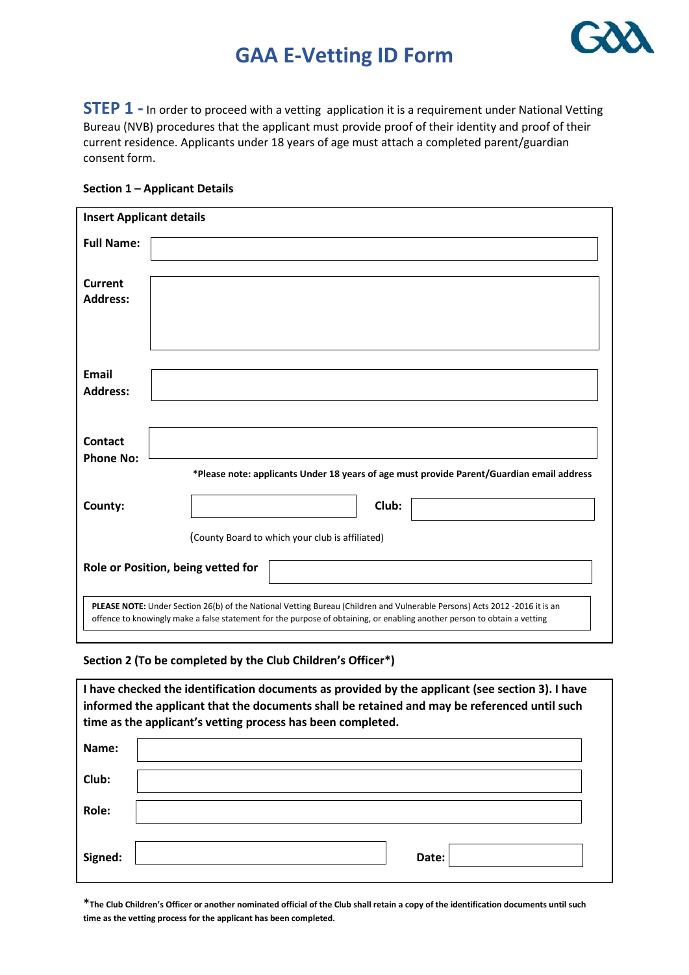### **GAA E-Vetting ID Form**



**STEP 1** - In order to proceed with a vetting application it is a requirement under National Vetting Bureau (NVB) procedures that the applicant must provide proof of their identity and proof of their current residence. Applicants under 18 years of age must attach a completed parent/guardian consent form.

|  |  | Section 1 - Applicant Details |  |
|--|--|-------------------------------|--|
|--|--|-------------------------------|--|

| <b>Insert Applicant details</b>                                                                                                                                                                                                                        |                                                                                           |  |  |  |  |
|--------------------------------------------------------------------------------------------------------------------------------------------------------------------------------------------------------------------------------------------------------|-------------------------------------------------------------------------------------------|--|--|--|--|
| <b>Full Name:</b>                                                                                                                                                                                                                                      |                                                                                           |  |  |  |  |
|                                                                                                                                                                                                                                                        |                                                                                           |  |  |  |  |
| <b>Current</b>                                                                                                                                                                                                                                         |                                                                                           |  |  |  |  |
| <b>Address:</b>                                                                                                                                                                                                                                        |                                                                                           |  |  |  |  |
|                                                                                                                                                                                                                                                        |                                                                                           |  |  |  |  |
|                                                                                                                                                                                                                                                        |                                                                                           |  |  |  |  |
|                                                                                                                                                                                                                                                        |                                                                                           |  |  |  |  |
| <b>Email</b>                                                                                                                                                                                                                                           |                                                                                           |  |  |  |  |
| <b>Address:</b>                                                                                                                                                                                                                                        |                                                                                           |  |  |  |  |
|                                                                                                                                                                                                                                                        |                                                                                           |  |  |  |  |
| Contact                                                                                                                                                                                                                                                |                                                                                           |  |  |  |  |
| <b>Phone No:</b>                                                                                                                                                                                                                                       |                                                                                           |  |  |  |  |
|                                                                                                                                                                                                                                                        | *Please note: applicants Under 18 years of age must provide Parent/Guardian email address |  |  |  |  |
| County:                                                                                                                                                                                                                                                | Club:                                                                                     |  |  |  |  |
|                                                                                                                                                                                                                                                        |                                                                                           |  |  |  |  |
|                                                                                                                                                                                                                                                        | (County Board to which your club is affiliated)                                           |  |  |  |  |
|                                                                                                                                                                                                                                                        |                                                                                           |  |  |  |  |
|                                                                                                                                                                                                                                                        | Role or Position, being vetted for                                                        |  |  |  |  |
|                                                                                                                                                                                                                                                        |                                                                                           |  |  |  |  |
| PLEASE NOTE: Under Section 26(b) of the National Vetting Bureau (Children and Vulnerable Persons) Acts 2012 -2016 it is an<br>offence to knowingly make a false statement for the purpose of obtaining, or enabling another person to obtain a vetting |                                                                                           |  |  |  |  |
|                                                                                                                                                                                                                                                        |                                                                                           |  |  |  |  |

#### **Section 2 (To be completed by the Club Children's Officer\*)**

**I have checked the identification documents as provided by the applicant (see section 3). I have informed the applicant that the documents shall be retained and may be referenced until such time as the applicant's vetting process has been completed. Name: Club: Role: Signed: Date: Date: Date: Date: Date: Date: Date: Date: Date: Date: Date: Date: Date: Date: Date: Date: Date: Date: Date: Date: Date: Date: Date: Date: Date: Date: Dat** 

**\*The Club Children's Officer or another nominated official of the Club shall retain a copy of the identification documents until such time as the vetting process for the applicant has been completed.**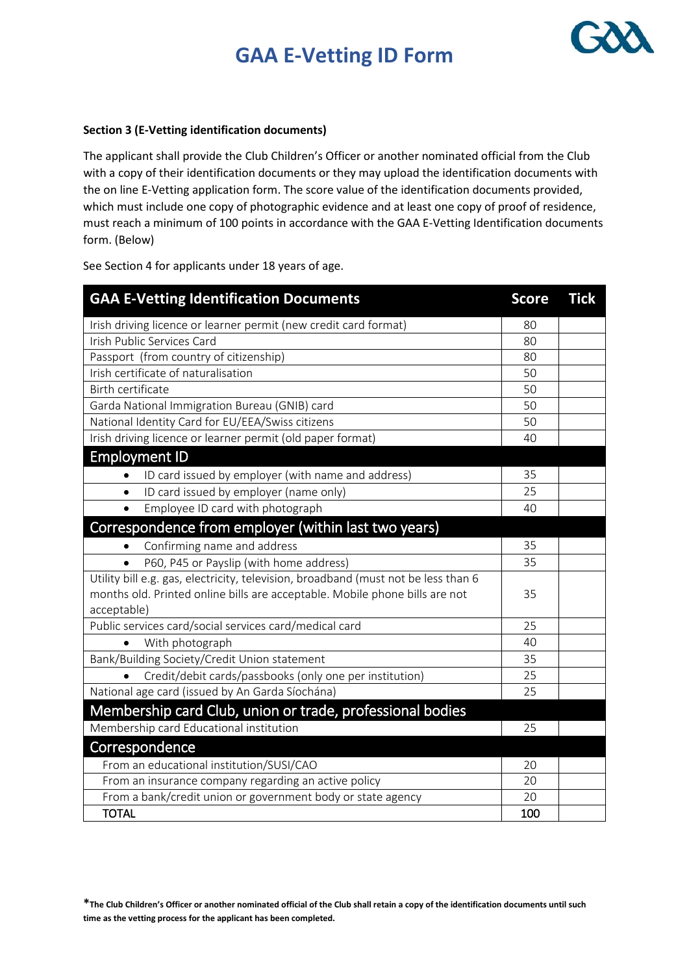# **GAA E-Vetting ID Form**



#### **Section 3 (E-Vetting identification documents)**

The applicant shall provide the Club Children's Officer or another nominated official from the Club with a copy of their identification documents or they may upload the identification documents with the on line E-Vetting application form. The score value of the identification documents provided, which must include one copy of photographic evidence and at least one copy of proof of residence, must reach a minimum of 100 points in accordance with the GAA E-Vetting Identification documents form. (Below)

See Section 4 for applicants under 18 years of age.

| <b>GAA E-Vetting Identification Documents</b>                                      | <b>Score</b> | <b>Tick</b> |
|------------------------------------------------------------------------------------|--------------|-------------|
| Irish driving licence or learner permit (new credit card format)                   |              |             |
| Irish Public Services Card                                                         | 80           |             |
| Passport (from country of citizenship)                                             | 80           |             |
| Irish certificate of naturalisation                                                | 50           |             |
| Birth certificate                                                                  | 50           |             |
| Garda National Immigration Bureau (GNIB) card                                      | 50           |             |
| National Identity Card for EU/EEA/Swiss citizens                                   | 50           |             |
| Irish driving licence or learner permit (old paper format)                         |              |             |
| <b>Employment ID</b>                                                               |              |             |
| ID card issued by employer (with name and address)<br>$\bullet$                    | 35           |             |
| ID card issued by employer (name only)<br>$\bullet$                                | 25           |             |
| Employee ID card with photograph                                                   | 40           |             |
| Correspondence from employer (within last two years)                               |              |             |
| Confirming name and address<br>$\bullet$                                           |              |             |
| P60, P45 or Payslip (with home address)<br>$\bullet$                               | 35           |             |
| Utility bill e.g. gas, electricity, television, broadband (must not be less than 6 |              |             |
| months old. Printed online bills are acceptable. Mobile phone bills are not        | 35           |             |
| acceptable)                                                                        |              |             |
| Public services card/social services card/medical card                             |              |             |
| With photograph                                                                    |              |             |
| Bank/Building Society/Credit Union statement                                       | 35           |             |
| Credit/debit cards/passbooks (only one per institution)<br>$\bullet$               | 25           |             |
| National age card (issued by An Garda Síochána)                                    |              |             |
| Membership card Club, union or trade, professional bodies                          |              |             |
| Membership card Educational institution                                            |              |             |
| Correspondence                                                                     |              |             |
| From an educational institution/SUSI/CAO                                           |              |             |
| From an insurance company regarding an active policy                               |              |             |
| From a bank/credit union or government body or state agency                        |              |             |
| <b>TOTAL</b>                                                                       |              |             |

**\*The Club Children's Officer or another nominated official of the Club shall retain a copy of the identification documents until such time as the vetting process for the applicant has been completed.**